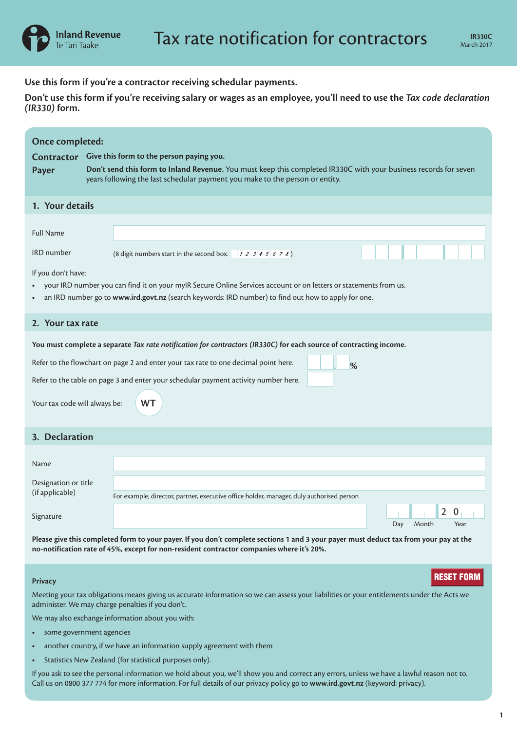**Use this form if you're a contractor receiving schedular payments.**

**Don't use this form if you're receiving salary or wages as an employee, you'll need to use the** *Tax code declaration (IR330)* **form.**

| Once completed:<br><b>Contractor</b><br><b>Payer</b>                                                                                                                                                                                          |  | Give this form to the person paying you.<br>Don't send this form to Inland Revenue. You must keep this completed IR330C with your business records for seven<br>years following the last schedular payment you make to the person or entity. |  |  |  |  |  |  |
|-----------------------------------------------------------------------------------------------------------------------------------------------------------------------------------------------------------------------------------------------|--|----------------------------------------------------------------------------------------------------------------------------------------------------------------------------------------------------------------------------------------------|--|--|--|--|--|--|
| 1. Your details                                                                                                                                                                                                                               |  |                                                                                                                                                                                                                                              |  |  |  |  |  |  |
| <b>Full Name</b>                                                                                                                                                                                                                              |  |                                                                                                                                                                                                                                              |  |  |  |  |  |  |
| <b>IRD</b> number                                                                                                                                                                                                                             |  | (8 digit numbers start in the second box. $12345678$ )                                                                                                                                                                                       |  |  |  |  |  |  |
| If you don't have:<br>your IRD number you can find it on your myIR Secure Online Services account or on letters or statements from us.<br>an IRD number go to www.ird.govt.nz (search keywords: IRD number) to find out how to apply for one. |  |                                                                                                                                                                                                                                              |  |  |  |  |  |  |
| 2. Your tax rate                                                                                                                                                                                                                              |  |                                                                                                                                                                                                                                              |  |  |  |  |  |  |
| You must complete a separate Tax rate notification for contractors (IR330C) for each source of contracting income.                                                                                                                            |  |                                                                                                                                                                                                                                              |  |  |  |  |  |  |
| Refer to the flowchart on page 2 and enter your tax rate to one decimal point here.<br>%                                                                                                                                                      |  |                                                                                                                                                                                                                                              |  |  |  |  |  |  |
| Refer to the table on page 3 and enter your schedular payment activity number here.                                                                                                                                                           |  |                                                                                                                                                                                                                                              |  |  |  |  |  |  |
| <b>WT</b><br>Your tax code will always be:                                                                                                                                                                                                    |  |                                                                                                                                                                                                                                              |  |  |  |  |  |  |
| 3. Declaration                                                                                                                                                                                                                                |  |                                                                                                                                                                                                                                              |  |  |  |  |  |  |
| <b>Name</b>                                                                                                                                                                                                                                   |  |                                                                                                                                                                                                                                              |  |  |  |  |  |  |
| Designation or title                                                                                                                                                                                                                          |  |                                                                                                                                                                                                                                              |  |  |  |  |  |  |
| (if applicable)                                                                                                                                                                                                                               |  | For example, director, partner, executive office holder, manager, duly authorised person                                                                                                                                                     |  |  |  |  |  |  |
| Signature                                                                                                                                                                                                                                     |  | $2+0$                                                                                                                                                                                                                                        |  |  |  |  |  |  |
|                                                                                                                                                                                                                                               |  | Month<br>Year<br>Day                                                                                                                                                                                                                         |  |  |  |  |  |  |
| Please give this completed form to your payer. If you don't complete sections 1 and 3 your payer must deduct tax from your pay at the<br>no-notification rate of 45%, except for non-resident contractor companies where it's 20%.            |  |                                                                                                                                                                                                                                              |  |  |  |  |  |  |

## **Privacy**

Meeting your tax obligations means giving us accurate information so we can assess your liabilities or your entitlements under the Acts we administer. We may charge penalties if you don't. **Privacy**<br>
Meeting your tax obligations means giving us accurate information so we can assess your liabilities or your entitlements under the Acts we<br>
administer. We may charge penalties if you don't.<br>
We may also exchange

We may also exchange information about you with:

- **•** some government agencies
- **•** another country, if we have an information supply agreement with them
- **•** Statistics New Zealand (for statistical purposes only).

If you ask to see the personal information we hold about you, we'll show you and correct any errors, unless we have a lawful reason not to.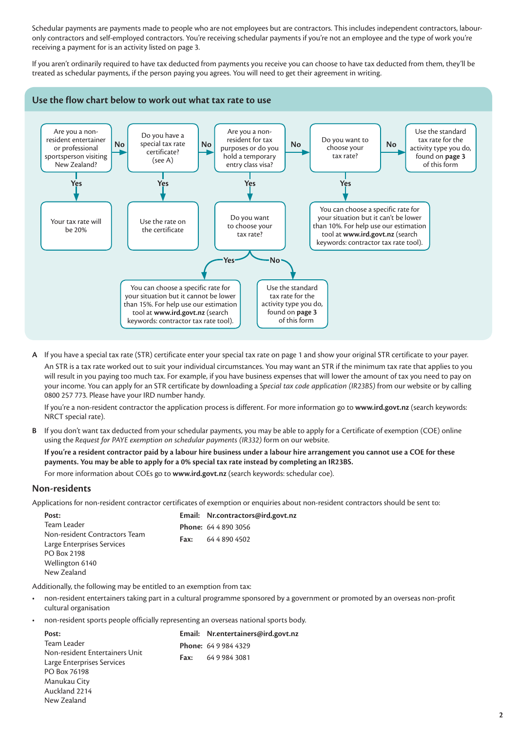Schedular payments are payments made to people who are not employees but are contractors. This includes independent contractors, labouronly contractors and self-employed contractors. You're receiving schedular payments if you're not an employee and the type of work you're receiving a payment for is an activity listed on page 3.

If you aren't ordinarily required to have tax deducted from payments you receive you can choose to have tax deducted from them, they'll be treated as schedular payments, if the person paying you agrees. You will need to get their agreement in writing.



**A** If you have a special tax rate (STR) certificate enter your special tax rate on page 1 and show your original STR certificate to your payer.

An STR is a tax rate worked out to suit your individual circumstances. You may want an STR if the minimum tax rate that applies to you will result in you paying too much tax. For example, if you have business expenses that will lower the amount of tax you need to pay on your income. You can apply for an STR certificate by downloading a *Special tax code application (IR23BS)* from our website or by calling 0800 257 773. Please have your IRD number handy.

If you're a non-resident contractor the application process is different. For more information go to **www.ird.govt.nz** (search keywords: NRCT special rate).

**B** If you don't want tax deducted from your schedular payments, you may be able to apply for a Certificate of exemption (COE) online using the *Request for PAYE exemption on schedular payments (IR332)* form on our website.

**If you're a resident contractor paid by a labour hire business under a labour hire arrangement you cannot use a COE for these payments. You may be able to apply for a 0% special tax rate instead by completing an IR23BS.**

For more information about COEs go to **www.ird.govt.nz** (search keywords: schedular coe).

## **Non-residents**

Applications for non-resident contractor certificates of exemption or enquiries about non-resident contractors should be sent to:

| Post:                         |      | Email: Nr.contractors@ird.govt.nz |
|-------------------------------|------|-----------------------------------|
| Team Leader                   |      | <b>Phone: 64 4 890 3056</b>       |
| Non-resident Contractors Team | Fax: | 64 4 890 4502                     |
| Large Enterprises Services    |      |                                   |
| PO Box 2198                   |      |                                   |
| Wellington 6140               |      |                                   |
| New Zealand                   |      |                                   |
|                               |      |                                   |

Additionally, the following may be entitled to an exemption from tax:

- non-resident entertainers taking part in a cultural programme sponsored by a government or promoted by an overseas non-profit cultural organisation
- non-resident sports people officially representing an overseas national sports body.

| Post:                          |      | Email: Nr.entertainers@ird.govt.nz |
|--------------------------------|------|------------------------------------|
| Team Leader                    |      | <b>Phone: 6499844329</b>           |
| Non-resident Entertainers Unit | Fax: | 6499843081                         |
| Large Enterprises Services     |      |                                    |
| PO Box 76198                   |      |                                    |
| Manukau City                   |      |                                    |
| Auckland 2214                  |      |                                    |
| New Zealand                    |      |                                    |